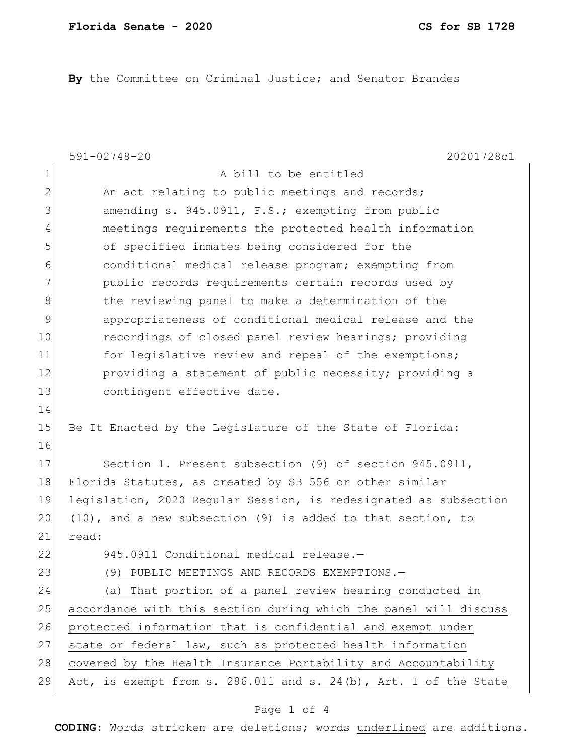**By** the Committee on Criminal Justice; and Senator Brandes

|                | $591 - 02748 - 20$<br>20201728c1                                      |
|----------------|-----------------------------------------------------------------------|
| 1              | A bill to be entitled                                                 |
| $\mathbf{2}$   | An act relating to public meetings and records;                       |
| 3              | amending s. 945.0911, F.S.; exempting from public                     |
| $\overline{4}$ | meetings requirements the protected health information                |
| 5              | of specified inmates being considered for the                         |
| 6              | conditional medical release program; exempting from                   |
| 7              | public records requirements certain records used by                   |
| $\,8\,$        | the reviewing panel to make a determination of the                    |
| $\mathsf 9$    | appropriateness of conditional medical release and the                |
| 10             | recordings of closed panel review hearings; providing                 |
| 11             | for legislative review and repeal of the exemptions;                  |
| 12             | providing a statement of public necessity; providing a                |
| 13             | contingent effective date.                                            |
| 14             |                                                                       |
| 15             | Be It Enacted by the Legislature of the State of Florida:             |
| 16             |                                                                       |
| 17             | Section 1. Present subsection (9) of section 945.0911,                |
| 18             | Florida Statutes, as created by SB 556 or other similar               |
| 19             | legislation, 2020 Regular Session, is redesignated as subsection      |
| 20             | $(10)$ , and a new subsection $(9)$ is added to that section, to      |
| 21             | read:                                                                 |
| 22             | 945.0911 Conditional medical release.-                                |
| 23             | PUBLIC MEETINGS AND RECORDS EXEMPTIONS.-<br>(9)                       |
| 24             | That portion of a panel review hearing conducted in<br>(a)            |
| 25             | accordance with this section during which the panel will discuss      |
| 26             | protected information that is confidential and exempt under           |
| 27             | state or federal law, such as protected health information            |
| 28             | covered by the Health Insurance Portability and Accountability        |
| 29             | Act, is exempt from s. $286.011$ and s. $24(b)$ , Art. I of the State |

## Page 1 of 4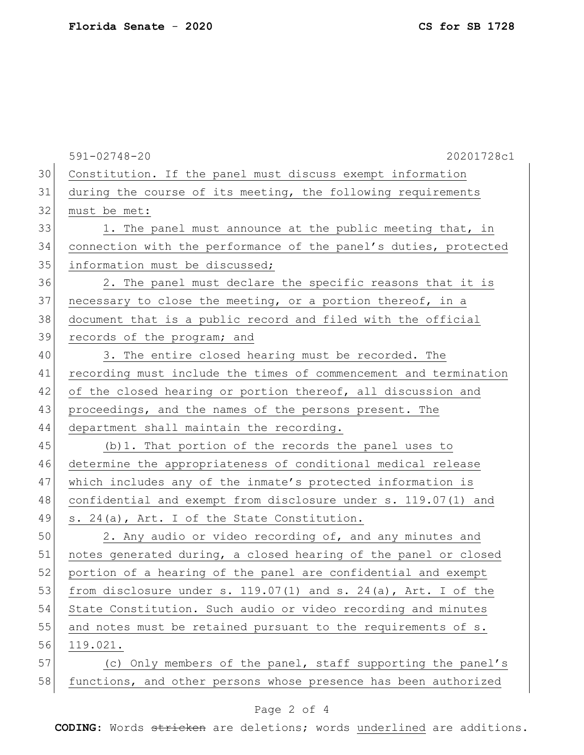|    | $591 - 02748 - 20$<br>20201728c1                                    |
|----|---------------------------------------------------------------------|
| 30 | Constitution. If the panel must discuss exempt information          |
| 31 | during the course of its meeting, the following requirements        |
| 32 | must be met:                                                        |
| 33 | 1. The panel must announce at the public meeting that, in           |
| 34 | connection with the performance of the panel's duties, protected    |
| 35 | information must be discussed;                                      |
| 36 | 2. The panel must declare the specific reasons that it is           |
| 37 | necessary to close the meeting, or a portion thereof, in a          |
| 38 | document that is a public record and filed with the official        |
| 39 | records of the program; and                                         |
| 40 | 3. The entire closed hearing must be recorded. The                  |
| 41 | recording must include the times of commencement and termination    |
| 42 | of the closed hearing or portion thereof, all discussion and        |
| 43 | proceedings, and the names of the persons present. The              |
| 44 | department shall maintain the recording.                            |
| 45 | (b) 1. That portion of the records the panel uses to                |
| 46 | determine the appropriateness of conditional medical release        |
| 47 | which includes any of the inmate's protected information is         |
| 48 | confidential and exempt from disclosure under s. 119.07(1) and      |
| 49 | s. 24(a), Art. I of the State Constitution.                         |
| 50 | 2. Any audio or video recording of, and any minutes and             |
| 51 | notes generated during, a closed hearing of the panel or closed     |
| 52 | portion of a hearing of the panel are confidential and exempt       |
| 53 | from disclosure under s. $119.07(1)$ and s. $24(a)$ , Art. I of the |
| 54 | State Constitution. Such audio or video recording and minutes       |
| 55 | and notes must be retained pursuant to the requirements of s.       |
| 56 | 119.021.                                                            |
| 57 | (c) Only members of the panel, staff supporting the panel's         |
| 58 | functions, and other persons whose presence has been authorized     |

## Page 2 of 4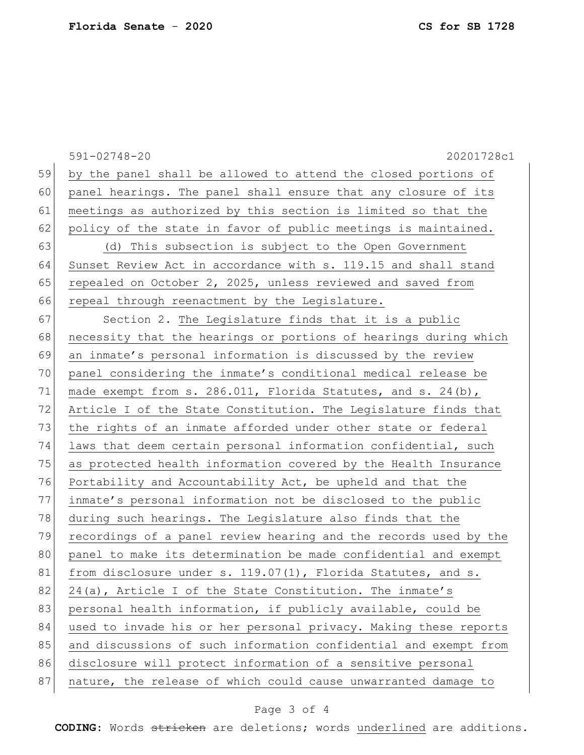|    | $591 - 02748 - 20$<br>20201728c1                                   |
|----|--------------------------------------------------------------------|
| 59 | by the panel shall be allowed to attend the closed portions of     |
| 60 | panel hearings. The panel shall ensure that any closure of its     |
| 61 | meetings as authorized by this section is limited so that the      |
| 62 | policy of the state in favor of public meetings is maintained.     |
| 63 | (d) This subsection is subject to the Open Government              |
| 64 | Sunset Review Act in accordance with s. 119.15 and shall stand     |
| 65 | repealed on October 2, 2025, unless reviewed and saved from        |
| 66 | repeal through reenactment by the Legislature.                     |
| 67 | Section 2. The Legislature finds that it is a public               |
| 68 | necessity that the hearings or portions of hearings during which   |
| 69 | an inmate's personal information is discussed by the review        |
| 70 | panel considering the inmate's conditional medical release be      |
| 71 | made exempt from s. $286.011$ , Florida Statutes, and s. $24(b)$ , |
| 72 | Article I of the State Constitution. The Legislature finds that    |
| 73 | the rights of an inmate afforded under other state or federal      |
| 74 | laws that deem certain personal information confidential, such     |
| 75 | as protected health information covered by the Health Insurance    |
| 76 | Portability and Accountability Act, be upheld and that the         |
| 77 | inmate's personal information not be disclosed to the public       |
| 78 | during such hearings. The Legislature also finds that the          |
| 79 | recordings of a panel review hearing and the records used by the   |
| 80 | panel to make its determination be made confidential and exempt    |
| 81 | from disclosure under s. 119.07(1), Florida Statutes, and s.       |
| 82 | 24(a), Article I of the State Constitution. The inmate's           |
| 83 | personal health information, if publicly available, could be       |
| 84 | used to invade his or her personal privacy. Making these reports   |
| 85 | and discussions of such information confidential and exempt from   |
| 86 | disclosure will protect information of a sensitive personal        |
| 87 | nature, the release of which could cause unwarranted damage to     |

## Page 3 of 4